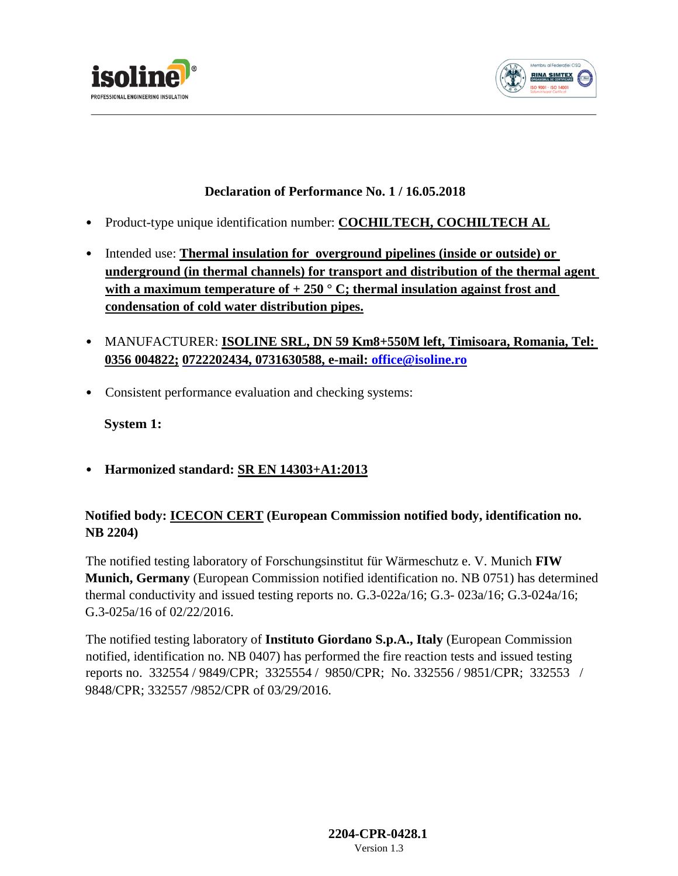



## **Declaration of Performance No. 1 / 16.05.2018**

- Product-type unique identification number: **COCHILTECH, COCHILTECH AL**
- Intended use: **Thermal insulation for overground pipelines (inside or outside) or underground (in thermal channels) for transport and distribution of the thermal agent**  with a maximum temperature of  $+ 250$  ° C; thermal insulation against frost and **condensation of cold water distribution pipes.**
- MANUFACTURER: **ISOLINE SRL, DN 59 Km8+550M left, Timisoara, Romania, Tel: 0356 004822; [0722202434, 0731630588, e-mail:](mailto:office@isoline.ro) [office@isoline.ro](mailto:office@isoline.ro)**
- Consistent performance evaluation and checking systems:

**System 1:** 

• **Harmonized standard: SR EN 14303+A1:2013**

## **Notified body: ICECON CERT (European Commission notified body, identification no. NB 2204)**

The notified testing laboratory of Forschungsinstitut für Wärmeschutz e. V. Munich **FIW Munich, Germany** (European Commission notified identification no. NB 0751) has determined thermal conductivity and issued testing reports no. G.3-022a/16; G.3- 023a/16; G.3-024a/16; G.3-025a/16 of 02/22/2016.

The notified testing laboratory of **Instituto Giordano S.p.A., Italy** (European Commission notified, identification no. NB 0407) has performed the fire reaction tests and issued testing reports no. 332554 / 9849/CPR; 3325554 / 9850/CPR; No. 332556 / 9851/CPR; 332553 / 9848/CPR; 332557 /9852/CPR of 03/29/2016.